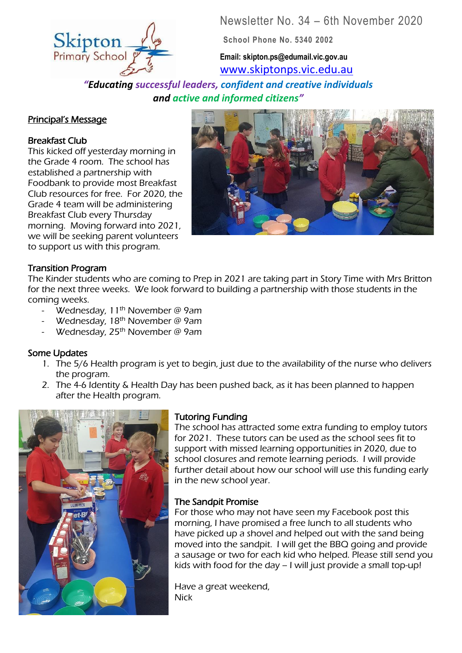Newsletter No. 34 – 6th November 2020

**School Phone No. 5340 2002**

**Email: skipton.ps@edumail.vic.gov.au** [www.skiptonps.vic.edu.au](http://www.skiptonps.vic.edu.au/)

*"Educating successful leaders, confident and creative individuals and active and informed citizens"* 7

#### Principal's Message

## Breakfast Club

This kicked off yesterday morning in the Grade 4 room. The school has established a partnership with Foodbank to provide most Breakfast Club resources for free. For 2020, the Grade 4 team will be administering Breakfast Club every Thursday morning. Moving forward into 2021, we will be seeking parent volunteers to support us with this program.



## Transition Program

The Kinder students who are coming to Prep in 2021 are taking part in Story Time with Mrs Britton for the next three weeks. We look forward to building a partnership with those students in the coming weeks.

- Wednesday,  $11<sup>th</sup>$  November @ 9am
- Wednesday, 18<sup>th</sup> November @ 9am
- Wednesday,  $25<sup>th</sup>$  November @ 9am

#### Some Updates

- 1. The 5/6 Health program is yet to begin, just due to the availability of the nurse who delivers the program.
- 2. The 4-6 Identity & Health Day has been pushed back, as it has been planned to happen after the Health program.



#### Tutoring Funding

The school has attracted some extra funding to employ tutors for 2021. These tutors can be used as the school sees fit to support with missed learning opportunities in 2020, due to school closures and remote learning periods. I will provide further detail about how our school will use this funding early in the new school year.

#### The Sandpit Promise

For those who may not have seen my Facebook post this morning, I have promised a free lunch to all students who have picked up a shovel and helped out with the sand being moved into the sandpit. I will get the BBQ going and provide a sausage or two for each kid who helped. Please still send you kids with food for the day – I will just provide a small top-up!

Have a great weekend, **Nick**